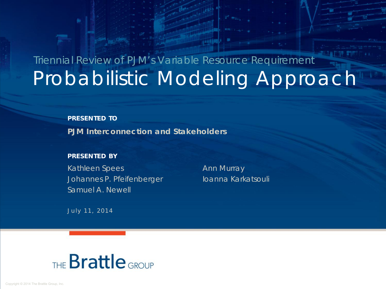# Probabilistic Modeling Approach Triennial Review of PJM's Variable Resource Requirement

#### **PRESENTED TO**

**PJM Interconnection and Stakeholders**

#### **PRESENTED BY**

Kathleen Spees Ann Murray Johannes P. Pfeifenberger Ioanna Karkatsouli Samuel A. Newell

July 11, 2014

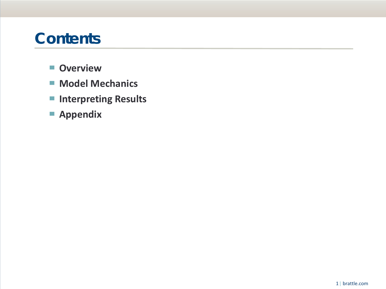## **Contents**

- ▀ **Overview**
- **Model Mechanics**
- **Interpreting Results**
- ▀ **Appendix**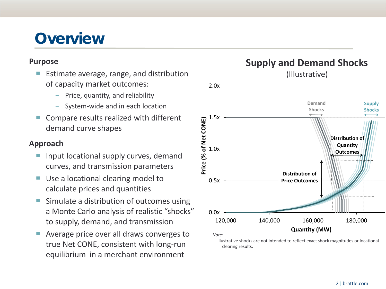## **Overview**

#### **Purpose**

- Estimate average, range, and distribution of capacity market outcomes:
	- Price, quantity, and reliability
	- System-wide and in each location
- Compare results realized with different demand curve shapes

### **Approach**

- Input locational supply curves, demand curves, and transmission parameters
- Use a locational clearing model to calculate prices and quantities
- Simulate a distribution of outcomes using a Monte Carlo analysis of realistic "shocks" to supply, demand, and transmission
- Average price over all draws converges to true Net CONE, consistent with long-run equilibrium in a merchant environment



**Supply and Demand Shocks** 

Illustrative shocks are not intended to reflect exact shock magnitudes or locational clearing results.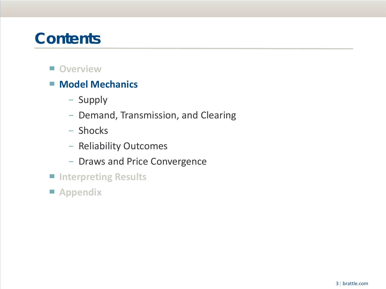## **Contents**

- Overview
- **Model Mechanics** 
	- − Supply
	- − Demand, Transmission, and Clearing
	- − Shocks
	- − Reliability Outcomes
	- − Draws and Price Convergence
- ▀ **Interpreting Results**
- ▀ **Appendix**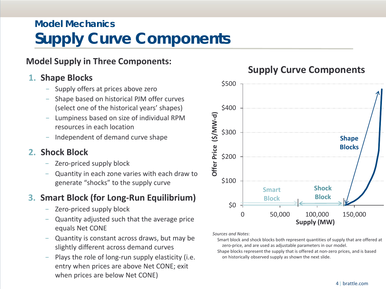## **Model Mechanics Supply Curve Components**

### **Model Supply in Three Components:**

### **1. Shape Blocks**

- − Supply offers at prices above zero
- − Shape based on historical PJM offer curves (select one of the historical years' shapes)
- − Lumpiness based on size of individual RPM resources in each location
- − Independent of demand curve shape

### **2. Shock Block**

- Zero-priced supply block
- Quantity in each zone varies with each draw to generate "shocks" to the supply curve

### **3. Smart Block (for Long-Run Equilibrium)**

- Zero-priced supply block
- Quantity adjusted such that the average price equals Net CONE
- − Quantity is constant across draws, but may be slightly different across demand curves
- Plays the role of long-run supply elasticity (i.e. entry when prices are above Net CONE; exit when prices are below Net CONE)



### **Supply Curve Components**

*Sources and Notes*:

Smart block and shock blocks both represent quantities of supply that are offered at zero-price, and are used as adjustable parameters in our model.

Shape blocks represent the supply that is offered at non-zero prices, and is based on historically observed supply as shown the next slide.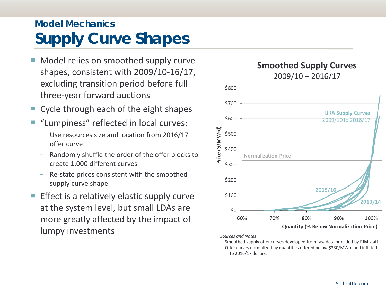## **Model Mechanics Supply Curve Shapes**

- Model relies on smoothed supply curve shapes, consistent with 2009/10-16/17, excluding transition period before full three-year forward auctions
- Cycle through each of the eight shapes
- "Lumpiness" reflected in local curves:
	- Use resources size and location from 2016/17 offer curve
	- Randomly shuffle the order of the offer blocks to create 1,000 different curves
	- Re-state prices consistent with the smoothed supply curve shape
- Effect is a relatively elastic supply curve at the system level, but small LDAs are more greatly affected by the impact of lumpy investments

### **Smoothed Supply Curves** 2009/10 – 2016/17



*Sources and Notes*:

Smoothed supply offer curves developed from raw data provided by PJM staff. Offer curves normalized by quantities offered below \$330/MW-d and inflated to 2016/17 dollars.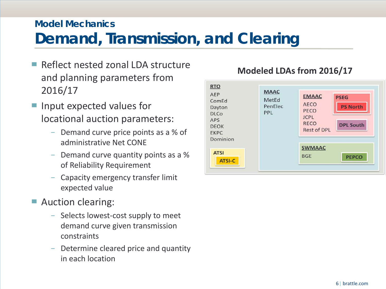### **Model Mechanics**

## **Demand, Transmission, and Clearing**

- Reflect nested zonal LDA structure and planning parameters from 2016/17
- Input expected values for locational auction parameters:
	- Demand curve price points as a % of administrative Net CONE
	- − Demand curve quantity points as a % of Reliability Requirement
	- − Capacity emergency transfer limit expected value
- Auction clearing:
	- − Selects lowest-cost supply to meet demand curve given transmission constraints
	- Determine cleared price and quantity in each location



### **Modeled LDAs from 2016/17**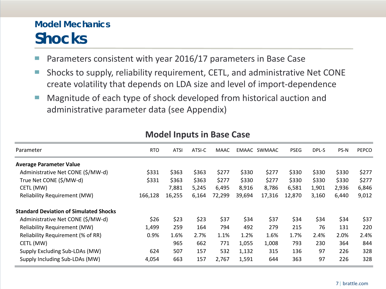## **Model Mechanics Shocks**

- Parameters consistent with year 2016/17 parameters in Base Case
- Shocks to supply, reliability requirement, CETL, and administrative Net CONE create volatility that depends on LDA size and level of import-dependence
- Magnitude of each type of shock developed from historical auction and administrative parameter data (see Appendix)

| Parameter                                     | <b>RTO</b> | <b>ATSI</b> | ATSI-C | <b>MAAC</b> |        | EMAAC SWMAAC | <b>PSEG</b> | DPL-S | PS-N  | PEPCO |
|-----------------------------------------------|------------|-------------|--------|-------------|--------|--------------|-------------|-------|-------|-------|
| <b>Average Parameter Value</b>                |            |             |        |             |        |              |             |       |       |       |
| Administrative Net CONE (\$/MW-d)             | \$331      | \$363       | \$363  | \$277       | \$330  | \$277        | \$330       | \$330 | \$330 | \$277 |
| True Net CONE (\$/MW-d)                       | \$331      | \$363       | \$363  | \$277       | \$330  | \$277        | \$330       | \$330 | \$330 | \$277 |
| CETL (MW)                                     |            | 7,881       | 5,245  | 6,495       | 8,916  | 8,786        | 6,581       | 1,901 | 2,936 | 6,846 |
| <b>Reliability Requirement (MW)</b>           | 166,128    | 16,255      | 6,164  | 72,299      | 39,694 | 17,316       | 12,870      | 3,160 | 6,440 | 9,012 |
| <b>Standard Deviation of Simulated Shocks</b> |            |             |        |             |        |              |             |       |       |       |
| Administrative Net CONE (\$/MW-d)             | \$26       | \$23        | \$23   | \$37        | \$34   | \$37         | \$34        | \$34  | \$34  | \$37  |
| <b>Reliability Requirement (MW)</b>           | 1,499      | 259         | 164    | 794         | 492    | 279          | 215         | 76    | 131   | 220   |
| Reliability Requirement (% of RR)             | 0.9%       | 1.6%        | 2.7%   | 1.1%        | 1.2%   | 1.6%         | 1.7%        | 2.4%  | 2.0%  | 2.4%  |
| CETL (MW)                                     |            | 965         | 662    | 771         | 1,055  | 1,008        | 793         | 230   | 364   | 844   |
| Supply Excluding Sub-LDAs (MW)                | 624        | 507         | 157    | 532         | 1,132  | 315          | 136         | 97    | 226   | 328   |
| Supply Including Sub-LDAs (MW)                | 4,054      | 663         | 157    | 2,767       | 1,591  | 644          | 363         | 97    | 226   | 328   |

#### **Model Inputs in Base Case**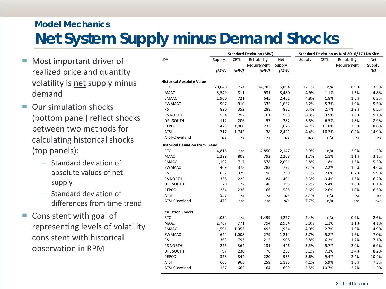## **Model Mechanics Net System Supply minus Demand Shocks**

- Most important driver of realized price and quantity volatility is net supply minus demand
- Our simulation shocks (bottom panel) reflect shocks between two methods for calculating historical shocks (top panels):
	- − Standard deviation of absolute values of net supply
	- − Standard deviation of differences from time trend
- Consistent with goal of representing levels of volatility consistent with historical observation in RPM

| LDA<br>Net<br><b>CETL</b><br>Supply<br><b>CETL</b><br>Reliability<br>Supply<br>Reliability<br>Net<br>Supply<br>Requirement<br>Requirement<br>Supply<br>(MW)<br>(MW)<br>(MW)<br>(%)<br>(MW)<br><b>Historical Absolute Value</b><br><b>RTO</b><br>20,040<br>5,894<br>12.1%<br>n/a<br>8.9%<br>n/a<br>14,783<br><b>MAAC</b><br>3,549<br>811<br>1.1%<br>1.3%<br>931<br>3,480<br>4.9%<br>1,900<br>721<br>4.8%<br>1.8%<br>1.6%<br><b>EMAAC</b><br>645<br>2,451<br>907<br>910<br>5.3%<br><b>SWMAAC</b><br>335<br>1,652<br>5.2%<br>1.9%<br>PS<br>820<br>832<br>2.7%<br>352<br>288<br>6.4%<br>2.2%<br>252<br>585<br>3.9%<br>PS NORTH<br>534<br>8.3%<br>1.6%<br>101<br>206<br>282<br>DPL SOUTH<br>112<br>57<br>6.5%<br>1.8%<br>3.5%<br>PEPCO<br>423<br>1,060<br>233<br>1,673<br>4.7%<br>11.8%<br>2.6%<br><b>ATSI</b><br>717<br>1,742<br>38<br>2,421<br>4.4%<br>10.7%<br>0.2%<br>n/a<br>n/a<br>ATSI-Cleveland<br>n/a<br>n/a<br>n/a<br>n/a<br>n/a<br><b>Historical Deviation from Trend</b><br>4,816<br>n/a<br>4,850<br>2,147<br>2.9%<br>n/a<br>2.9%<br><b>RTO</b><br><b>MAAC</b><br>1,229<br>808<br>792<br>2,208<br>1.7%<br>1.1%<br>1.1%<br><b>EMAAC</b><br>1,102<br>717<br>578<br>2,091<br>2.8%<br>1.8%<br>1.5%<br>792<br><b>SWMAAC</b><br>409<br>378<br>283<br>2.4%<br>2.2%<br>1.6%<br>PS<br>657<br>329<br>96<br>759<br>2.6%<br>0.7%<br>5.1%<br>338<br>222<br>84<br>401<br>3.4%<br><b>PS NORTH</b><br>5.3%<br>1.3%<br>70<br>172<br>48<br>193<br>2.2%<br>5.4%<br>1.5%<br><b>DPL SOUTH</b><br>236<br>585<br>2.6%<br>PEPCO<br>234<br>166<br>2.6%<br>1.8%<br>557<br>n/a<br>n/a<br>n/a<br><b>ATSI</b><br>3.4%<br>n/a<br>n/a<br>ATSI-Cleveland<br>473<br>n/a<br>n/a<br>n/a<br>7.7%<br>n/a<br>n/a<br><b>Simulation Shocks</b><br><b>RTO</b><br>2.4%<br>n/a<br>0.9%<br>2.6%<br>4,054<br>n/a<br>1,499<br>4,277<br><b>MAAC</b><br>2,767<br>771<br>2,984<br>1.1%<br>794<br>3.8%<br>1.1%<br>4.1%<br>1,055<br>2.7%<br><b>EMAAC</b><br>1,591<br>492<br>1,954<br>4.0%<br>1.2%<br>5.8%<br>644<br>1,008<br>279<br>1,214<br>3.7%<br>1.6%<br><b>SWMAAC</b><br>PS<br>363<br>793<br>215<br>908<br>2.8%<br>6.2%<br>1.7%<br>7.1%<br>226<br>364<br>131<br>446<br>5.7%<br>2.0%<br>6.9%<br><b>PS NORTH</b><br>3.5%<br>97<br>230<br>76<br>259<br>7.3%<br><b>DPL SOUTH</b><br>3.1%<br>2.4%<br>PEPCO<br>328<br>935<br>844<br>220<br>3.6%<br>9.4%<br>2.4%<br>10.4%<br><b>ATSI</b><br>259<br>5.9%<br>663<br>965<br>1,186<br>4.1%<br>1.6%<br>699<br>ATSI-Cleveland<br>157<br>662<br>164<br>2.5%<br>10.7%<br>2.7% |  | <b>Standard Deviation (MW)</b> |  | Standard Deviation as % of 2016/17 LDA Size |       |
|------------------------------------------------------------------------------------------------------------------------------------------------------------------------------------------------------------------------------------------------------------------------------------------------------------------------------------------------------------------------------------------------------------------------------------------------------------------------------------------------------------------------------------------------------------------------------------------------------------------------------------------------------------------------------------------------------------------------------------------------------------------------------------------------------------------------------------------------------------------------------------------------------------------------------------------------------------------------------------------------------------------------------------------------------------------------------------------------------------------------------------------------------------------------------------------------------------------------------------------------------------------------------------------------------------------------------------------------------------------------------------------------------------------------------------------------------------------------------------------------------------------------------------------------------------------------------------------------------------------------------------------------------------------------------------------------------------------------------------------------------------------------------------------------------------------------------------------------------------------------------------------------------------------------------------------------------------------------------------------------------------------------------------------------------------------------------------------------------------------------------------------------------------------------------------------------------------------------------------------------------------------------------------------------------------------------------------------------------------------------------------------------------------------------------------------------------------------------|--|--------------------------------|--|---------------------------------------------|-------|
|                                                                                                                                                                                                                                                                                                                                                                                                                                                                                                                                                                                                                                                                                                                                                                                                                                                                                                                                                                                                                                                                                                                                                                                                                                                                                                                                                                                                                                                                                                                                                                                                                                                                                                                                                                                                                                                                                                                                                                                                                                                                                                                                                                                                                                                                                                                                                                                                                                                                        |  |                                |  |                                             |       |
|                                                                                                                                                                                                                                                                                                                                                                                                                                                                                                                                                                                                                                                                                                                                                                                                                                                                                                                                                                                                                                                                                                                                                                                                                                                                                                                                                                                                                                                                                                                                                                                                                                                                                                                                                                                                                                                                                                                                                                                                                                                                                                                                                                                                                                                                                                                                                                                                                                                                        |  |                                |  |                                             |       |
|                                                                                                                                                                                                                                                                                                                                                                                                                                                                                                                                                                                                                                                                                                                                                                                                                                                                                                                                                                                                                                                                                                                                                                                                                                                                                                                                                                                                                                                                                                                                                                                                                                                                                                                                                                                                                                                                                                                                                                                                                                                                                                                                                                                                                                                                                                                                                                                                                                                                        |  |                                |  |                                             |       |
|                                                                                                                                                                                                                                                                                                                                                                                                                                                                                                                                                                                                                                                                                                                                                                                                                                                                                                                                                                                                                                                                                                                                                                                                                                                                                                                                                                                                                                                                                                                                                                                                                                                                                                                                                                                                                                                                                                                                                                                                                                                                                                                                                                                                                                                                                                                                                                                                                                                                        |  |                                |  |                                             |       |
|                                                                                                                                                                                                                                                                                                                                                                                                                                                                                                                                                                                                                                                                                                                                                                                                                                                                                                                                                                                                                                                                                                                                                                                                                                                                                                                                                                                                                                                                                                                                                                                                                                                                                                                                                                                                                                                                                                                                                                                                                                                                                                                                                                                                                                                                                                                                                                                                                                                                        |  |                                |  |                                             | 3.5%  |
|                                                                                                                                                                                                                                                                                                                                                                                                                                                                                                                                                                                                                                                                                                                                                                                                                                                                                                                                                                                                                                                                                                                                                                                                                                                                                                                                                                                                                                                                                                                                                                                                                                                                                                                                                                                                                                                                                                                                                                                                                                                                                                                                                                                                                                                                                                                                                                                                                                                                        |  |                                |  |                                             | 4.8%  |
|                                                                                                                                                                                                                                                                                                                                                                                                                                                                                                                                                                                                                                                                                                                                                                                                                                                                                                                                                                                                                                                                                                                                                                                                                                                                                                                                                                                                                                                                                                                                                                                                                                                                                                                                                                                                                                                                                                                                                                                                                                                                                                                                                                                                                                                                                                                                                                                                                                                                        |  |                                |  |                                             | 6.2%  |
|                                                                                                                                                                                                                                                                                                                                                                                                                                                                                                                                                                                                                                                                                                                                                                                                                                                                                                                                                                                                                                                                                                                                                                                                                                                                                                                                                                                                                                                                                                                                                                                                                                                                                                                                                                                                                                                                                                                                                                                                                                                                                                                                                                                                                                                                                                                                                                                                                                                                        |  |                                |  |                                             | 9.5%  |
|                                                                                                                                                                                                                                                                                                                                                                                                                                                                                                                                                                                                                                                                                                                                                                                                                                                                                                                                                                                                                                                                                                                                                                                                                                                                                                                                                                                                                                                                                                                                                                                                                                                                                                                                                                                                                                                                                                                                                                                                                                                                                                                                                                                                                                                                                                                                                                                                                                                                        |  |                                |  |                                             | 6.5%  |
|                                                                                                                                                                                                                                                                                                                                                                                                                                                                                                                                                                                                                                                                                                                                                                                                                                                                                                                                                                                                                                                                                                                                                                                                                                                                                                                                                                                                                                                                                                                                                                                                                                                                                                                                                                                                                                                                                                                                                                                                                                                                                                                                                                                                                                                                                                                                                                                                                                                                        |  |                                |  |                                             | 9.1%  |
|                                                                                                                                                                                                                                                                                                                                                                                                                                                                                                                                                                                                                                                                                                                                                                                                                                                                                                                                                                                                                                                                                                                                                                                                                                                                                                                                                                                                                                                                                                                                                                                                                                                                                                                                                                                                                                                                                                                                                                                                                                                                                                                                                                                                                                                                                                                                                                                                                                                                        |  |                                |  |                                             | 8.9%  |
|                                                                                                                                                                                                                                                                                                                                                                                                                                                                                                                                                                                                                                                                                                                                                                                                                                                                                                                                                                                                                                                                                                                                                                                                                                                                                                                                                                                                                                                                                                                                                                                                                                                                                                                                                                                                                                                                                                                                                                                                                                                                                                                                                                                                                                                                                                                                                                                                                                                                        |  |                                |  |                                             | 18.6% |
|                                                                                                                                                                                                                                                                                                                                                                                                                                                                                                                                                                                                                                                                                                                                                                                                                                                                                                                                                                                                                                                                                                                                                                                                                                                                                                                                                                                                                                                                                                                                                                                                                                                                                                                                                                                                                                                                                                                                                                                                                                                                                                                                                                                                                                                                                                                                                                                                                                                                        |  |                                |  |                                             | 14.9% |
|                                                                                                                                                                                                                                                                                                                                                                                                                                                                                                                                                                                                                                                                                                                                                                                                                                                                                                                                                                                                                                                                                                                                                                                                                                                                                                                                                                                                                                                                                                                                                                                                                                                                                                                                                                                                                                                                                                                                                                                                                                                                                                                                                                                                                                                                                                                                                                                                                                                                        |  |                                |  |                                             | n/a   |
|                                                                                                                                                                                                                                                                                                                                                                                                                                                                                                                                                                                                                                                                                                                                                                                                                                                                                                                                                                                                                                                                                                                                                                                                                                                                                                                                                                                                                                                                                                                                                                                                                                                                                                                                                                                                                                                                                                                                                                                                                                                                                                                                                                                                                                                                                                                                                                                                                                                                        |  |                                |  |                                             |       |
|                                                                                                                                                                                                                                                                                                                                                                                                                                                                                                                                                                                                                                                                                                                                                                                                                                                                                                                                                                                                                                                                                                                                                                                                                                                                                                                                                                                                                                                                                                                                                                                                                                                                                                                                                                                                                                                                                                                                                                                                                                                                                                                                                                                                                                                                                                                                                                                                                                                                        |  |                                |  |                                             | 1.3%  |
|                                                                                                                                                                                                                                                                                                                                                                                                                                                                                                                                                                                                                                                                                                                                                                                                                                                                                                                                                                                                                                                                                                                                                                                                                                                                                                                                                                                                                                                                                                                                                                                                                                                                                                                                                                                                                                                                                                                                                                                                                                                                                                                                                                                                                                                                                                                                                                                                                                                                        |  |                                |  |                                             | 3.1%  |
|                                                                                                                                                                                                                                                                                                                                                                                                                                                                                                                                                                                                                                                                                                                                                                                                                                                                                                                                                                                                                                                                                                                                                                                                                                                                                                                                                                                                                                                                                                                                                                                                                                                                                                                                                                                                                                                                                                                                                                                                                                                                                                                                                                                                                                                                                                                                                                                                                                                                        |  |                                |  |                                             | 5.3%  |
|                                                                                                                                                                                                                                                                                                                                                                                                                                                                                                                                                                                                                                                                                                                                                                                                                                                                                                                                                                                                                                                                                                                                                                                                                                                                                                                                                                                                                                                                                                                                                                                                                                                                                                                                                                                                                                                                                                                                                                                                                                                                                                                                                                                                                                                                                                                                                                                                                                                                        |  |                                |  |                                             | 4.6%  |
|                                                                                                                                                                                                                                                                                                                                                                                                                                                                                                                                                                                                                                                                                                                                                                                                                                                                                                                                                                                                                                                                                                                                                                                                                                                                                                                                                                                                                                                                                                                                                                                                                                                                                                                                                                                                                                                                                                                                                                                                                                                                                                                                                                                                                                                                                                                                                                                                                                                                        |  |                                |  |                                             | 5.9%  |
|                                                                                                                                                                                                                                                                                                                                                                                                                                                                                                                                                                                                                                                                                                                                                                                                                                                                                                                                                                                                                                                                                                                                                                                                                                                                                                                                                                                                                                                                                                                                                                                                                                                                                                                                                                                                                                                                                                                                                                                                                                                                                                                                                                                                                                                                                                                                                                                                                                                                        |  |                                |  |                                             | 6.2%  |
|                                                                                                                                                                                                                                                                                                                                                                                                                                                                                                                                                                                                                                                                                                                                                                                                                                                                                                                                                                                                                                                                                                                                                                                                                                                                                                                                                                                                                                                                                                                                                                                                                                                                                                                                                                                                                                                                                                                                                                                                                                                                                                                                                                                                                                                                                                                                                                                                                                                                        |  |                                |  |                                             | 6.1%  |
|                                                                                                                                                                                                                                                                                                                                                                                                                                                                                                                                                                                                                                                                                                                                                                                                                                                                                                                                                                                                                                                                                                                                                                                                                                                                                                                                                                                                                                                                                                                                                                                                                                                                                                                                                                                                                                                                                                                                                                                                                                                                                                                                                                                                                                                                                                                                                                                                                                                                        |  |                                |  |                                             | 6.5%  |
|                                                                                                                                                                                                                                                                                                                                                                                                                                                                                                                                                                                                                                                                                                                                                                                                                                                                                                                                                                                                                                                                                                                                                                                                                                                                                                                                                                                                                                                                                                                                                                                                                                                                                                                                                                                                                                                                                                                                                                                                                                                                                                                                                                                                                                                                                                                                                                                                                                                                        |  |                                |  |                                             | n/a   |
|                                                                                                                                                                                                                                                                                                                                                                                                                                                                                                                                                                                                                                                                                                                                                                                                                                                                                                                                                                                                                                                                                                                                                                                                                                                                                                                                                                                                                                                                                                                                                                                                                                                                                                                                                                                                                                                                                                                                                                                                                                                                                                                                                                                                                                                                                                                                                                                                                                                                        |  |                                |  |                                             | n/a   |
|                                                                                                                                                                                                                                                                                                                                                                                                                                                                                                                                                                                                                                                                                                                                                                                                                                                                                                                                                                                                                                                                                                                                                                                                                                                                                                                                                                                                                                                                                                                                                                                                                                                                                                                                                                                                                                                                                                                                                                                                                                                                                                                                                                                                                                                                                                                                                                                                                                                                        |  |                                |  |                                             |       |
|                                                                                                                                                                                                                                                                                                                                                                                                                                                                                                                                                                                                                                                                                                                                                                                                                                                                                                                                                                                                                                                                                                                                                                                                                                                                                                                                                                                                                                                                                                                                                                                                                                                                                                                                                                                                                                                                                                                                                                                                                                                                                                                                                                                                                                                                                                                                                                                                                                                                        |  |                                |  |                                             |       |
|                                                                                                                                                                                                                                                                                                                                                                                                                                                                                                                                                                                                                                                                                                                                                                                                                                                                                                                                                                                                                                                                                                                                                                                                                                                                                                                                                                                                                                                                                                                                                                                                                                                                                                                                                                                                                                                                                                                                                                                                                                                                                                                                                                                                                                                                                                                                                                                                                                                                        |  |                                |  |                                             |       |
|                                                                                                                                                                                                                                                                                                                                                                                                                                                                                                                                                                                                                                                                                                                                                                                                                                                                                                                                                                                                                                                                                                                                                                                                                                                                                                                                                                                                                                                                                                                                                                                                                                                                                                                                                                                                                                                                                                                                                                                                                                                                                                                                                                                                                                                                                                                                                                                                                                                                        |  |                                |  |                                             | 4.9%  |
|                                                                                                                                                                                                                                                                                                                                                                                                                                                                                                                                                                                                                                                                                                                                                                                                                                                                                                                                                                                                                                                                                                                                                                                                                                                                                                                                                                                                                                                                                                                                                                                                                                                                                                                                                                                                                                                                                                                                                                                                                                                                                                                                                                                                                                                                                                                                                                                                                                                                        |  |                                |  |                                             | 7.0%  |
|                                                                                                                                                                                                                                                                                                                                                                                                                                                                                                                                                                                                                                                                                                                                                                                                                                                                                                                                                                                                                                                                                                                                                                                                                                                                                                                                                                                                                                                                                                                                                                                                                                                                                                                                                                                                                                                                                                                                                                                                                                                                                                                                                                                                                                                                                                                                                                                                                                                                        |  |                                |  |                                             |       |
|                                                                                                                                                                                                                                                                                                                                                                                                                                                                                                                                                                                                                                                                                                                                                                                                                                                                                                                                                                                                                                                                                                                                                                                                                                                                                                                                                                                                                                                                                                                                                                                                                                                                                                                                                                                                                                                                                                                                                                                                                                                                                                                                                                                                                                                                                                                                                                                                                                                                        |  |                                |  |                                             |       |
|                                                                                                                                                                                                                                                                                                                                                                                                                                                                                                                                                                                                                                                                                                                                                                                                                                                                                                                                                                                                                                                                                                                                                                                                                                                                                                                                                                                                                                                                                                                                                                                                                                                                                                                                                                                                                                                                                                                                                                                                                                                                                                                                                                                                                                                                                                                                                                                                                                                                        |  |                                |  |                                             | 8.2%  |
|                                                                                                                                                                                                                                                                                                                                                                                                                                                                                                                                                                                                                                                                                                                                                                                                                                                                                                                                                                                                                                                                                                                                                                                                                                                                                                                                                                                                                                                                                                                                                                                                                                                                                                                                                                                                                                                                                                                                                                                                                                                                                                                                                                                                                                                                                                                                                                                                                                                                        |  |                                |  |                                             |       |
|                                                                                                                                                                                                                                                                                                                                                                                                                                                                                                                                                                                                                                                                                                                                                                                                                                                                                                                                                                                                                                                                                                                                                                                                                                                                                                                                                                                                                                                                                                                                                                                                                                                                                                                                                                                                                                                                                                                                                                                                                                                                                                                                                                                                                                                                                                                                                                                                                                                                        |  |                                |  |                                             | 7.3%  |
|                                                                                                                                                                                                                                                                                                                                                                                                                                                                                                                                                                                                                                                                                                                                                                                                                                                                                                                                                                                                                                                                                                                                                                                                                                                                                                                                                                                                                                                                                                                                                                                                                                                                                                                                                                                                                                                                                                                                                                                                                                                                                                                                                                                                                                                                                                                                                                                                                                                                        |  |                                |  |                                             | 11.3% |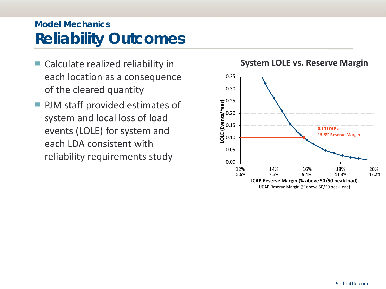## **Model Mechanics Reliability Outcomes**

- Calculate realized reliability in each location as a consequence of the cleared quantity
- PJM staff provided estimates of system and local loss of load events (LOLE) for system and each LDA consistent with reliability requirements study  $_{0.00}$

#### 0.05 0.10 0.15 0.20 0.25 0.30 0.35 12% 14% 16% 18% 20% **LOLE (Events/Year) ICAP Reserve Margin (% above 50/50 peak load) 0.10 LOLE at 15.8% Reserve Margin** UCAP Reserve Margin (% above 50/50 peak load) 5.6% 7.5% 9.4% 11.3% 13.2%

### **System LOLE vs. Reserve Margin**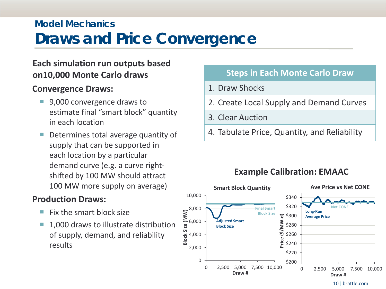## **Model Mechanics Draws and Price Convergence**

### **Each simulation run outputs based on10,000 Monte Carlo draws**

### **Convergence Draws:**

- 9,000 convergence draws to estimate final "smart block" quantity in each location
- Determines total average quantity of supply that can be supported in each location by a particular demand curve (e.g. a curve rightshifted by 100 MW should attract 100 MW more supply on average)

### **Production Draws:**

- Fix the smart block size
- 1,000 draws to illustrate distribution of supply, demand, and reliability results

### **Steps in Each Monte Carlo Draw**

### 1. Draw Shocks

- 2. Create Local Supply and Demand Curves
- 3. Clear Auction
- 4. Tabulate Price, Quantity, and Reliability

## **Example Calibration: EMAAC**



10| brattle.com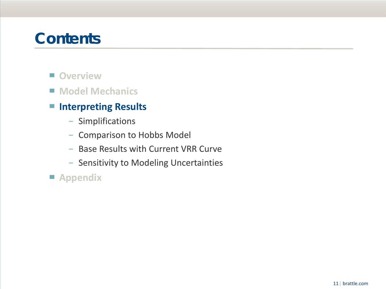## **Contents**

- Overview
- Model Mechanics

### ■ **Interpreting Results**

- − Simplifications
- − Comparison to Hobbs Model
- − Base Results with Current VRR Curve
- − Sensitivity to Modeling Uncertainties

▀ **Appendix**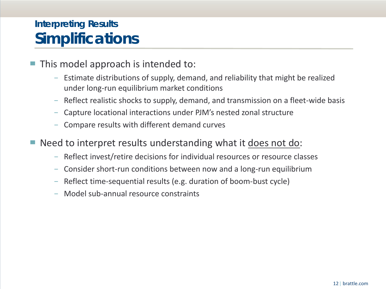## **Interpreting Results Simplifications**

- This model approach is intended to:
	- − Estimate distributions of supply, demand, and reliability that might be realized under long-run equilibrium market conditions
	- − Reflect realistic shocks to supply, demand, and transmission on a fleet-wide basis
	- − Capture locational interactions under PJM's nested zonal structure
	- − Compare results with different demand curves
- Need to interpret results understanding what it does not do:
	- − Reflect invest/retire decisions for individual resources or resource classes
	- − Consider short-run conditions between now and a long-run equilibrium
	- − Reflect time-sequential results (e.g. duration of boom-bust cycle)
	- − Model sub-annual resource constraints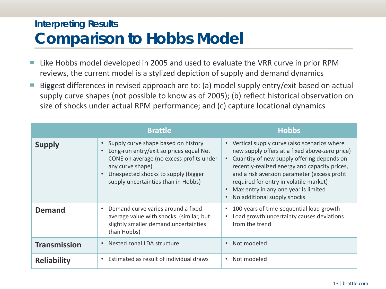## **Interpreting Results Comparison to Hobbs Model**

- Like Hobbs model developed in 2005 and used to evaluate the VRR curve in prior RPM reviews, the current model is a stylized depiction of supply and demand dynamics
- Biggest differences in revised approach are to: (a) model supply entry/exit based on actual supply curve shapes (not possible to know as of 2005); (b) reflect historical observation on size of shocks under actual RPM performance; and (c) capture locational dynamics

|                     | <b>Brattle</b>                                                                                                                                                                                                                                                      | <b>Hobbs</b>                                                                                                                                                                                                                                                                                                                                                               |
|---------------------|---------------------------------------------------------------------------------------------------------------------------------------------------------------------------------------------------------------------------------------------------------------------|----------------------------------------------------------------------------------------------------------------------------------------------------------------------------------------------------------------------------------------------------------------------------------------------------------------------------------------------------------------------------|
| <b>Supply</b>       | Supply curve shape based on history<br>$\bullet$<br>Long-run entry/exit so prices equal Net<br>$\bullet$<br>CONE on average (no excess profits under<br>any curve shape)<br>Unexpected shocks to supply (bigger<br>$\bullet$<br>supply uncertainties than in Hobbs) | Vertical supply curve (also scenarios where<br>$\bullet$<br>new supply offers at a fixed above-zero price)<br>Quantity of new supply offering depends on<br>recently-realized energy and capacity prices,<br>and a risk aversion parameter (excess profit<br>required for entry in volatile market)<br>Max entry in any one year is limited<br>No additional supply shocks |
| <b>Demand</b>       | Demand curve varies around a fixed<br>$\bullet$<br>average value with shocks (similar, but<br>slightly smaller demand uncertainties<br>than Hobbs)                                                                                                                  | 100 years of time-sequential load growth<br>Load growth uncertainty causes deviations<br>from the trend                                                                                                                                                                                                                                                                    |
| <b>Transmission</b> | Nested zonal LDA structure<br>$\bullet$                                                                                                                                                                                                                             | Not modeled                                                                                                                                                                                                                                                                                                                                                                |
| <b>Reliability</b>  | Estimated as result of individual draws                                                                                                                                                                                                                             | Not modeled                                                                                                                                                                                                                                                                                                                                                                |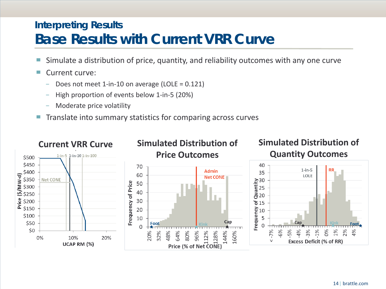## **Interpreting Results Base Results with Current VRR Curve**

- Simulate a distribution of price, quantity, and reliability outcomes with any one curve
- Current curve:
	- − Does not meet 1-in-10 on average (LOLE = 0.121)
	- − High proportion of events below 1-in-5 (20%)
	- − Moderate price volatility
- Translate into summary statistics for comparing across curves

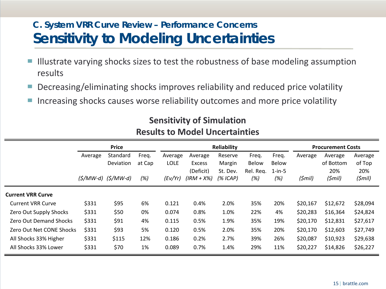## **C. System VRR Curve Review – Performance Concerns Sensitivity to Modeling Uncertainties**

- Illustrate varying shocks sizes to test the robustness of base modeling assumption results
- Decreasing/eliminating shocks improves reliability and reduced price volatility
- Increasing shocks causes worse reliability outcomes and more price volatility

|                               |         | <b>Price</b>                                            |        |             |                     | <b>Reliability</b> | <b>Procurement Costs</b>  |                           |          |                  |               |
|-------------------------------|---------|---------------------------------------------------------|--------|-------------|---------------------|--------------------|---------------------------|---------------------------|----------|------------------|---------------|
|                               | Average | Standard                                                | Freq.  | Average     | Average             | Reserve            | Freq.                     | Freq.                     | Average  | Average          | Average       |
|                               |         | Deviation                                               | at Cap | <b>LOLE</b> | Excess<br>(Deficit) | Margin<br>St. Dev. | <b>Below</b><br>Rel. Reg. | <b>Below</b><br>$1$ -in-5 |          | of Bottom<br>20% | of Top<br>20% |
|                               |         | $(\frac{5}{M}$ <i>W</i> -d) $(\frac{5}{M}$ <i>W-d</i> ) | (%)    | (Ev/Yr)     | $(IRM + X%)$        | (%ICAP)            | (%)                       | (%)                       | (Smil)   | $(5$ mil)        | $(5$ mil)     |
| <b>Current VRR Curve</b>      |         |                                                         |        |             |                     |                    |                           |                           |          |                  |               |
| <b>Current VRR Curve</b>      | \$331   | \$95                                                    | 6%     | 0.121       | 0.4%                | 2.0%               | 35%                       | 20%                       | \$20,167 | \$12,672         | \$28,094      |
| Zero Out Supply Shocks        | \$331   | \$50                                                    | 0%     | 0.074       | 0.8%                | 1.0%               | 22%                       | 4%                        | \$20,283 | \$16,364         | \$24,824      |
| <b>Zero Out Demand Shocks</b> | \$331   | \$91                                                    | 4%     | 0.115       | 0.5%                | 1.9%               | 35%                       | 19%                       | \$20,170 | \$12,831         | \$27,617      |
| Zero Out Net CONE Shocks      | \$331   | \$93                                                    | 5%     | 0.120       | 0.5%                | 2.0%               | 35%                       | 20%                       | \$20,170 | \$12,603         | \$27,749      |
| All Shocks 33% Higher         | \$331   | \$115                                                   | 12%    | 0.186       | 0.2%                | 2.7%               | 39%                       | 26%                       | \$20,087 | \$10,923         | \$29,638      |
| All Shocks 33% Lower          | \$331   | \$70                                                    | 1%     | 0.089       | 0.7%                | 1.4%               | 29%                       | 11%                       | \$20,227 | \$14,826         | \$26,227      |

## **Sensitivity of Simulation Results to Model Uncertainties**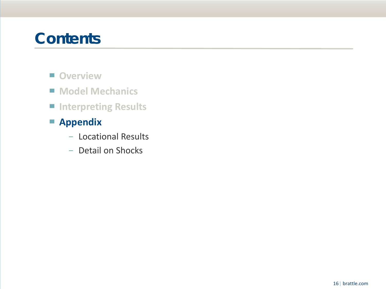## **Contents**

- Overview
- Model Mechanics
- **Interpreting Results**
- ▀ **Appendix**
	- − Locational Results
	- − Detail on Shocks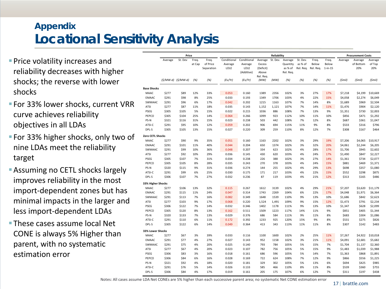## **Appendix Locational Sensitivity Analysis**

- **Price volatility increases and** reliability decreases with higher shocks; the reverse with lower shocks
- **For 33% lower shocks, current VRR** curve achieves reliability objectives in all LDAs
- **For 33% higher shocks, only two of** nine LDAs meet the reliability target
- **Assuming no CETL shocks largely** improves reliability in the most import-dependent zones but has minimal impacts in the larger and less import-dependent LDAs
- **These cases assume local Net** CONE is always 5% Higher than parent, with no systematic estimation error

|                          |                | Price                 |          |            |                |                |                   | Reliability |              |            |           |           |                | <b>Procurement Costs</b> |                |
|--------------------------|----------------|-----------------------|----------|------------|----------------|----------------|-------------------|-------------|--------------|------------|-----------|-----------|----------------|--------------------------|----------------|
|                          | Average        | St. Dev               | Freq.    | Freq.      | Conditional    | Conditional    | Average           | St. Dev.    | Average      | St. Dev.   | Freq.     | Freq.     | Average        | Average                  | Average        |
|                          |                |                       | at Cap   | of Price   | Average        | Average        | Excess            |             | Quantity     | as % of    | Below     | Below     |                | of Bottom                | of Top         |
|                          |                |                       |          | Separation | LOLE           | LOLE           | (Deficit)         |             | as % of      | Rel. Req.  | Rel. Req. | $1-in-15$ |                | 20%                      | 20%            |
|                          |                |                       |          |            |                | (Additive)     | Above             |             | Rel. Reg.    |            |           |           |                |                          |                |
|                          |                | $(S/MW-d)$ $(S/MW-d)$ | (% )     | (%)        | (Ev/Yr)        | (Ev/Yr)        | Rel. Req.<br>(MW) | (MW)        | (% )         | (% )       | (%)       | (%)       | (Smil)         | $(5$ mil)                | $(5$ mil)      |
|                          |                |                       |          |            |                |                |                   |             |              |            |           |           |                |                          |                |
| <b>Base Shocks</b>       |                |                       |          |            |                |                |                   |             |              |            |           |           |                |                          |                |
| MAAC                     | \$277          | \$89                  | 12%      | 33%        | 0.053          | 0.160          | 1389              | 2356        | 102%         | 3%         | 27%       | 17%       | \$7,218        | \$4,199                  | \$10,669       |
| <b>EMAAC</b>             | \$291          | \$98                  | 8%       | 25%        | 0.033          | 0.193          | 1349              | 1706        | 103%         | 4%         | 22%       | 15%       | \$4,058        | \$2,274                  | \$6,049        |
| SWMAAC                   | \$291          | \$96                  | 6%       | 17%        | 0.042          | 0.202          | 1215              | 1163        | 107%         | 7%         | 14%       | 8%        | \$1,689        | \$969                    | \$2,504        |
| ATSI                     | \$277          | \$87                  | 11%      | 18%        | 0.035          | 0.143          | 1,152             | 1,121       | 107%         | 7%         | 14%       | 11%       | \$1,476        | \$904                    | \$2,120        |
| PSEG                     | \$305          | \$105                 | 5%       | 15%        | 0.022          | 0.215          | 1036              | 886         | 108%         | 7%         | 13%       | 9%        | \$1,351        | \$730                    | \$2,003        |
| PEPCO                    | \$305          | \$104                 | 25%      | 14%        | 0.064          | 0.266          | 1099              | 923         | 112%         | 10%        | 11%       | 10%       | \$856          | \$471                    | \$1,292        |
| PS-N                     | \$321          | \$116                 | 31%      | 15%        | 0.023          | 0.238          | 503               | 442         | 108%         | 7%         | 12%       | 8%        | \$687          | \$361                    | \$1,047        |
| ATSI-C                   | \$291          | \$95                  | 10%      | 12%        | 0.059          | 0.202          | 906               | 694         | 115%         | 11%        | 9%        | 8%        | \$533          | \$316                    | \$796          |
| DPL-S                    | \$305          | \$105                 | 13%      | 15%        | 0.027          | 0.220          | 309               | 259         | 110%         | 8%         | 12%       | 7%        | \$308          | \$167                    | \$464          |
| Zero CETL Shocks         |                |                       |          |            |                |                |                   |             |              |            |           |           |                |                          |                |
| MAAC                     | \$277          | \$90                  | 9%       | 35%        | 0.051          | 0.160          | 1163              | 2202        | 102%         | 3%         | 29%       | 19%       | \$7,206        | \$4,065                  | \$10,917       |
| <b>EMAAC</b>             | \$291          | \$101                 | 11%      | 40%        | 0.044          | 0.204          | 650               | 1374        | 102%         | 3%         | 32%       | 20%       | \$4,061        | \$2,244                  | \$6,205        |
| SWMAAC                   | \$291          | \$99                  | 10%      | 36%        | 0.048          | 0.207          | 334               | 623         | 102%         | 4%         | 28%       | 17%       | \$1,706        | \$945                    | \$2,602        |
| ATSI                     | \$277          | \$92                  | 10%      | 29%        | 0.036          | 0.145          | 430               | 620         | 103%         | 4%         | 24%       | 17%       | \$1,490        | \$847                    | \$2,227        |
| PSEG                     | \$305          | \$107                 | 7%       | 31%        | 0.034          | 0.238          | 226               | 388         | 102%         | 3%         | 27%       | 14%       | \$1,361        | \$734                    | \$2,077        |
| PEPCO                    | \$305          | \$105                 | 8%       | 28%        | 0.035          | 0.243          | 270               | 378         | 103%         | 4%         | 24%       | 15%       | \$881          | \$469                    | \$1,371        |
| PS-N                     | \$320          | \$115                 | 9%       | 31%        | 0.036          | 0.274          | 144               | 255         | 102%         | 4%         | 29%       | 13%       | \$698          | \$357                    | \$1,080        |
| ATSI-C                   | \$291          | \$99                  | 6%       | 25%        | 0.030          | 0.175          | 171               | 217         | 103%         | 4%         | 22%       | 15%       | \$552          | \$298                    | \$875          |
| DPL-S                    | \$306          | \$107                 | 7%       | 27%        | 0.032          | 0.236          | 87                | 119         | 103%         | 4%         | 21%       | 12%       | \$313          | \$165                    | \$486          |
| 33% Higher Shocks        |                |                       |          |            |                |                |                   |             |              |            |           |           |                |                          |                |
| MAAC                     | \$277          | \$106                 | 13%      | 32%        | 0.115          | 0.267          | 1612              | 3139        | 102%         | 4%         | 29%       | 21%       | \$7,207        | \$3,620                  | \$11,179       |
| <b>EMAAC</b>             | \$291          | \$115                 | 11%      | 24%        | 0.047          | 0.314          | 1743              | 2269        | 104%         | 6%         | 22%       | 17%       | \$4,048        | \$1,971                  | \$6,364        |
| SWMAAC                   | \$291          | \$113                 | 7%       | 16%        | 0.082          | 0.349          | 1648              | 1539        | 110%         | 9%         | 13%       | 10%       | \$1,686        | \$842                    | \$2,623        |
| ATSI                     | \$277          | \$103                 | 9%       | 17%        | 0.068          | 0.220          | 1,524             | 1,491       | 109%         | 9%         | 15%       | 12%       | \$1,473        | \$791                    | \$2,234        |
| PSEG                     | \$306          | \$122                 | 7%       | 14%        | 0.032          | 0.346          | 1402              | 1178        | 111%         | 9%         | 13%       | 10%       | \$1,347        | \$628                    | \$2,099        |
| PEPCO                    | \$305          | \$120                 | 8%       | 13%        | 0.162          | 0.511          | 1509              | 1223        | 117%         | 14%        | 11%       | 9%        | \$851          | \$405                    | \$1,344        |
| PS-N                     | \$320          | \$133                 | 7%       | 13%        | 0.029          | 0.376          | 686               | 584         | 111%         | 9%         | 11%       | 8%        | \$683          | \$304                    | \$1,086        |
|                          |                |                       |          |            |                |                |                   |             |              |            |           |           |                |                          |                |
| ATSI-C<br>DPL-S          | \$291<br>\$305 | \$110<br>\$122        | 6%<br>6% | 11%<br>14% | 0.172<br>0.049 | 0.392<br>0.364 | 1233<br>413       | 925<br>343  | 120%<br>113% | 15%<br>11% | 9%<br>11% | 8%<br>8%  | \$531<br>\$307 | \$275<br>\$142           | \$826<br>\$483 |
|                          |                |                       |          |            |                |                |                   |             |              |            |           |           |                |                          |                |
| 33% Lower Shocks<br>MAAC | \$277          | \$67                  | 3%       | 39%        | 0.033          | 0.116          | 1100              | 1600        | 102%         | 2%         | 25%       | 11%       | \$7,267        | \$4,922                  | \$10,018       |
| <b>EMAAC</b>             | \$291          | \$77                  | 4%       | 27%        | 0.027          | 0.143          | 952               | 1158        | 102%         | 3%         | 21%       | 11%       | \$4,091        | \$2,681                  |                |
|                          |                |                       |          |            |                |                |                   |             |              |            |           |           |                |                          | \$5,682        |
| SWMAAC                   | \$291          | \$75                  | 4%       | 20%        | 0.025          | 0.140          | 793               | 784         | 105%         | 5%         | 15%       | 7%        | \$1,704        | \$1,137                  | \$2,360        |
| ATSI                     | \$277          | \$67                  | 4%       | 20%        | 0.023          | 0.107          | 782               | 756         | 105%         | 5%         | 15%       | 9%        | \$1,483        | \$1,039                  | \$1,988        |
| PSEG                     | \$306          | \$83                  | 3%       | 16%        | 0.018          | 0.161          | 686               | 596         | 105%         | 5%         | 14%       | 7%        | \$1,363        | \$868                    | \$1,891        |
| PEPCO                    | \$306          | \$84                  | 6%       | 16%        | 0.028          | 0.169          | 722               | 624         | 108%         | 7%         | 12%       | 9%        | \$866          | \$556                    | \$1,225        |
| PS-N                     | \$321          | \$92                  | 4%       | 18%        | 0.020          | 0.181          | 329               | 302         | 105%         | 5%         | 13%       | 6%        | \$694          | \$425                    | \$985          |
| ATSI-C                   | \$291          | \$76                  | 5%       | 14%        | 0.026          | 0.133          | 585               | 466         | 110%         | 8%         | 11%       | 8%        | \$539          | \$360                    | \$755          |
| DPL-S                    | \$306          | \$84                  | 4%       | 17%        | 0.019          | 0.161          | 205               | 175         | 107%         | 6%         | 12%       | 7%        | \$311          | \$197                    | \$438          |

Notes: All cases assume LDA Net CONEs are 5% higher than each successive parent area; no systematic Net CONE estimation error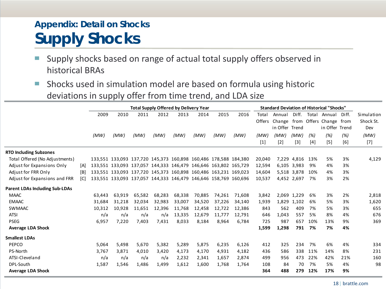## **Appendix: Detail on Shocks Supply Shocks**

■ Supply shocks based on range of actual total supply offers observed in historical BRAs

■ Shocks used in simulation model are based on formula using historic deviations in supply offer from time trend, and LDA size

|                                       |     |        |        |                                                                 |        | <b>Total Supply Offered by Delivery Year</b> |        |        |        | <b>Standard Deviation of Historical "Shocks"</b> |                |                 |       |                         |       |            |
|---------------------------------------|-----|--------|--------|-----------------------------------------------------------------|--------|----------------------------------------------|--------|--------|--------|--------------------------------------------------|----------------|-----------------|-------|-------------------------|-------|------------|
|                                       |     | 2009   | 2010   | 2011                                                            | 2012   | 2013                                         | 2014   | 2015   | 2016   | Total                                            | Annual         | Diff.           | Total | Annual                  | Diff. | Simulation |
|                                       |     |        |        |                                                                 |        |                                              |        |        |        | Offers                                           | Change         |                 |       | from Offers Change from |       | Shock St.  |
|                                       |     |        |        |                                                                 |        |                                              |        |        |        |                                                  | in Offer Trend |                 |       | in Offer Trend          |       | Dev        |
|                                       |     | (MW)   | (MW)   | (MW)                                                            | (MW)   | (MW)                                         | (MW)   | (MW)   | (MW)   | (MW)                                             | (MW)           | (MW)            | (%)   | (%)                     | (%)   | (MW)       |
|                                       |     |        |        |                                                                 |        |                                              |        |        |        | $[1]$                                            | $[2]$          | $[3]$           | [4]   | $[5]$                   | $[6]$ | $[7]$      |
| <b>RTO Including Subzones</b>         |     |        |        |                                                                 |        |                                              |        |        |        |                                                  |                |                 |       |                         |       |            |
| Total Offered (No Adjustments)        |     |        |        | 133,551 133,093 137,720 145,373 160,898 160,486 178,588 184,380 |        |                                              |        |        |        | 20,040                                           |                | 7,229 4,816 13% |       | 5%                      | 3%    | 4,129      |
| Adjust for Expansions Only            | [A] |        |        | 133,551 133,093 137,057 144,333 146,479 146,646 163,802 165,729 |        |                                              |        |        |        | 12,594                                           |                | 6,105 3,983     | 9%    | 4%                      | 3%    |            |
| Adjust for FRR Only                   | [B] |        |        | 133,551 133,093 137,720 145,373 160,898 160,486 163,231 169,023 |        |                                              |        |        |        | 14,604                                           |                | 5,518 3,878     | 10%   | 4%                      | 3%    |            |
| Adjust for Expansions and FRR         | [C] |        |        | 133,551 133,093 137,057 144,333 146,479 146,646 158,769 160,696 |        |                                              |        |        |        | 10,537                                           |                | 4,452 2,697     | 7%    | 3%                      | 2%    |            |
| <b>Parent LDAs Including Sub-LDAs</b> |     |        |        |                                                                 |        |                                              |        |        |        |                                                  |                |                 |       |                         |       |            |
| <b>MAAC</b>                           |     | 63.443 | 63,919 | 65,582                                                          | 68,283 | 68,338                                       | 70,885 | 74,261 | 71,608 | 3,842                                            |                | 2,069 1,229     | 6%    | 3%                      | 2%    | 2,818      |
| <b>EMAAC</b>                          |     | 31,684 | 31,218 | 32,034                                                          | 32,983 | 33,007                                       | 34,520 | 37,226 | 34,140 | 1,939                                            |                | 1,829 1,102     | 6%    | 5%                      | 3%    | 1,620      |
| <b>SWMAAC</b>                         |     | 10,312 | 10,928 | 11,651                                                          | 12,396 | 11,768                                       | 12,458 | 12,722 | 12,386 | 843                                              | 562            | 409             | 7%    | 5%                      | 3%    | 655        |
| <b>ATSI</b>                           |     | n/a    | n/a    | n/a                                                             | n/a    | 13,335                                       | 12,679 | 11,777 | 12,791 | 646                                              | 1,043          | 557             | 5%    | 8%                      | 4%    | 676        |
| <b>PSEG</b>                           |     | 6,957  | 7,220  | 7,403                                                           | 7,431  | 8,033                                        | 8,184  | 8,964  | 6,784  | 725                                              | 987            | 657             | 10%   | 13%                     | 9%    | 369        |
| <b>Average LDA Shock</b>              |     |        |        |                                                                 |        |                                              |        |        |        | 1,599                                            | 1,298          | 791             | 7%    | 7%                      | 4%    |            |
| <b>Smallest LDAs</b>                  |     |        |        |                                                                 |        |                                              |        |        |        |                                                  |                |                 |       |                         |       |            |
| PEPCO                                 |     | 5,064  | 5,498  | 5,670                                                           | 5,382  | 5,289                                        | 5,875  | 6,235  | 6,126  | 412                                              | 325            | 234             | 7%    | 6%                      | 4%    | 334        |
| PS-North                              |     | 3,767  | 3.871  | 4,010                                                           | 3,420  | 4,173                                        | 4,170  | 4,931  | 4.182  | 436                                              | 586            | 338             | 11%   | 14%                     | 8%    | 231        |
| ATSI-Cleveland                        |     | n/a    | n/a    | n/a                                                             | n/a    | 2,232                                        | 2,341  | 1,657  | 2,874  | 499                                              | 956            | 473             | 22%   | 42%                     | 21%   | 160        |
| DPL-South                             |     | 1,587  | 1,546  | 1,486                                                           | 1,499  | 1,612                                        | 1,600  | 1,768  | 1,764  | 108                                              | 84             | 70              | 7%    | 5%                      | 4%    | 98         |
| <b>Average LDA Shock</b>              |     |        |        |                                                                 |        |                                              |        |        |        | 364                                              | 488            | 279             | 12%   | 17%                     | 9%    |            |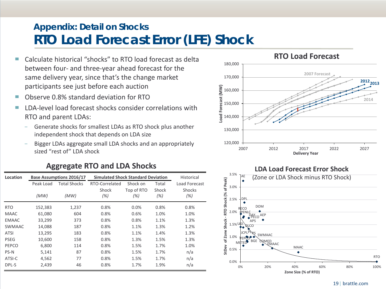## **Appendix: Detail on Shocks RTO Load Forecast Error (LFE) Shock**

- Calculate historical "shocks" to RTO load forecast as delta between four- and three-year ahead forecast for the same delivery year, since that's the change market participants see just before each auction
- Observe 0.8% standard deviation for RTO
- LDA-level load forecast shocks consider correlations with RTO and parent LDAs:
	- Generate shocks for smallest LDAs as RTO shock plus another independent shock that depends on LDA size
	- Bigger LDAs aggregate small LDA shocks and an appropriately sized "rest of" LDA shock

| Location      |           | <b>Base Assumptions 2016/17</b> | <b>Simulated Shock Standard Deviation</b> |            |       | Historical    |
|---------------|-----------|---------------------------------|-------------------------------------------|------------|-------|---------------|
|               | Peak Load | <b>Total Shocks</b>             | RTO-Correlated                            | Shock on   | Total | Load Forecast |
|               |           |                                 | Shock                                     | Top of RTO | Shock | <b>Shocks</b> |
|               | (MW)      | (MW)                            | (%)                                       | (%)        | (%)   | (%)           |
| <b>RTO</b>    | 152,383   | 1,237                           | 0.8%                                      | 0.0%       | 0.8%  | 0.8%          |
| <b>MAAC</b>   | 61,080    | 604                             | 0.8%                                      | 0.6%       | 1.0%  | 1.0%          |
| <b>EMAAC</b>  | 33,299    | 373                             | 0.8%                                      | 0.8%       | 1.1%  | 1.3%          |
| <b>SWMAAC</b> | 14,088    | 187                             | 0.8%                                      | 1.1%       | 1.3%  | 1.2%          |
| <b>ATSI</b>   | 13,295    | 183                             | 0.8%                                      | 1.1%       | 1.4%  | 1.3%          |
| <b>PSEG</b>   | 10,600    | 158                             | 0.8%                                      | 1.3%       | 1.5%  | 1.3%          |
| PEPCO         | 6,800     | 114                             | 0.8%                                      | 1.5%       | 1.7%  | 1.0%          |
| PS-N          | 5,141     | 87                              | 0.8%                                      | 1.5%       | 1.7%  | n/a           |
| ATSI-C        | 4,562     | 77                              | 0.8%                                      | 1.5%       | 1.7%  | n/a           |
| DPL-S         | 2.439     | 46                              | 0.8%                                      | 1.7%       | 1.9%  | n/a           |





#### 19| brattle.com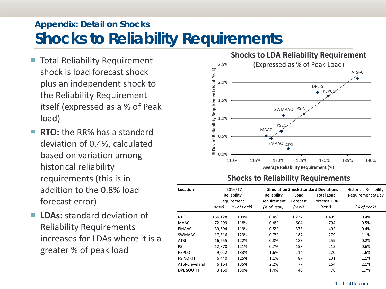## **Appendix: Detail on Shocks Shocks to Reliability Requirements**

- Total Reliability Requirement shock is load forecast shock plus an independent shock to the Reliability Requirement itself (expressed as a % of Peak load)
- **RTO:** the RR% has a standard deviation of 0.4%, calculated based on variation among historical reliability requirements (this is in addition to the 0.8% load forecast error)
- LDAs: standard deviation of Reliability Requirements increases for LDAs where it is a greater % of peak load



#### **Shocks to Reliability Requirements**

| Location                  |                   | 2016/17<br>Reliability     | Reliability  | Load             | <b>Simulation Shock Standard Deviations</b><br><b>Total Load</b> | <b>Historical Reliability</b><br><b>Requirement StDev</b> |
|---------------------------|-------------------|----------------------------|--------------|------------------|------------------------------------------------------------------|-----------------------------------------------------------|
|                           | (MW)              | Requirement<br>(% of Peak) |              | Forecast<br>(MW) | Forecast + RR<br>(MW)                                            | (% of Peak)                                               |
|                           |                   |                            | (% of Peak)  |                  |                                                                  |                                                           |
| <b>RTO</b><br><b>MAAC</b> | 166,128<br>72,299 | 109%<br>118%               | 0.4%<br>0.4% | 1,237<br>604     | 1.499<br>794                                                     | 0.4%<br>0.5%                                              |
| EMAAC                     | 39,694            | 119%                       | 0.5%         | 373              | 492                                                              | 0.4%                                                      |
| <b>SWMAAC</b>             | 17,316            | 123%                       | 0.7%         | 187              | 279                                                              | 1.1%                                                      |
| <b>ATSI</b>               | 16,255            | 122%                       | 0.8%         | 183              | 259                                                              | 0.2%                                                      |
| PS                        | 12,870            | 121%                       | 0.7%         | 158              | 215                                                              | 0.6%                                                      |
| PEPCO                     | 9.012             | 133%                       | 1.6%         | 114              | 220                                                              | 1.6%                                                      |
| <b>PS NORTH</b>           | 6.440             | 125%                       | 1.1%         | 87               | 131                                                              | 1.1%                                                      |
| ATSI-Cleveland            | 6,164             | 135%                       | 2.2%         | 77               | 164                                                              | 2.1%                                                      |
| <b>DPL SOUTH</b>          | 3,160             | 130%                       | 1.4%         | 46               | 76                                                               | 1.7%                                                      |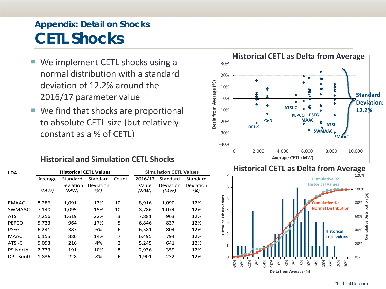## **Appendix: Detail on Shocks CETL Shocks**

- We implement CETL shocks using a normal distribution with a standard deviation of 12.2% around the 2016/17 parameter value
- We find that shocks are proportional to absolute CETL size (but relatively constant as a % of CETL)

#### **Historical and Simulation CETL Shocks**

| <b>LDA</b>      |         | <b>Historical CETL Values</b> |                  |               |               | <b>Simulation CETL Values</b> |                  |
|-----------------|---------|-------------------------------|------------------|---------------|---------------|-------------------------------|------------------|
|                 | Average | Standard                      | Standard         | Count         | 2016/17       | Standard                      | Standard         |
|                 | (MW)    | Deviation<br>(MW)             | Deviation<br>(%) |               | Value<br>(MW) | Deviation<br>(MW)             | Deviation<br>(%) |
| <b>EMAAC</b>    | 8,286   | 1,091                         | 13%              | 10            | 8.916         | 1,090                         | 12%              |
| <b>SWMAAC</b>   | 7,140   | 1,095                         | 15%              | 10            | 8,786         | 1,074                         | 12%              |
| ATSI            | 7,256   | 1,619                         | 22%              | 3             | 7,881         | 963                           | 12%              |
| PEPCO           | 5,733   | 964                           | 17%              | 5             | 6,846         | 837                           | 12%              |
| <b>PSEG</b>     | 6,241   | 387                           | 6%               | 6             | 6,581         | 804                           | 12%              |
| MAAC            | 6,155   | 886                           | 14%              | 7             | 6,495         | 794                           | 12%              |
| ATSI-C          | 5,093   | 216                           | 4%               | $\mathcal{P}$ | 5,245         | 641                           | 12%              |
| <b>PS-North</b> | 2,733   | 191                           | 10%              | 8             | 2,936         | 359                           | 12%              |
| DPL-South       | 1,836   | 228                           | 8%               | 6             | 1,901         | 232                           | 12%              |



#### **Historical CETL as Delta from Average**

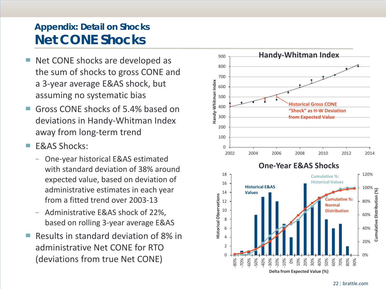## **Appendix: Detail on Shocks Net CONE Shocks**

- Net CONE shocks are developed as the sum of shocks to gross CONE and a 3-year average E&AS shock, but assuming no systematic bias
- Gross CONE shocks of 5.4% based on deviations in Handy-Whitman Index away from long-term trend
- **F&AS Shocks:** 
	- − One-year historical E&AS estimated with standard deviation of 38% around expected value, based on deviation of administrative estimates in each year from a fitted trend over 2003-13
	- − Administrative E&AS shock of 22%, based on rolling 3-year average E&AS
- Results in standard deviation of 8% in administrative Net CONE for RTO (deviations from true Net CONE)

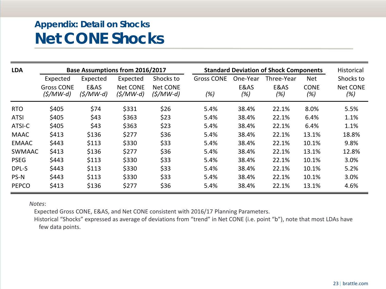## **Appendix: Detail on Shocks Net CONE Shocks**

| <b>LDA</b>    |                                 |                   | <b>Base Assumptions from 2016/2017</b> |                               |                   |             | <b>Standard Deviation of Shock Components</b> |                    | Historical             |
|---------------|---------------------------------|-------------------|----------------------------------------|-------------------------------|-------------------|-------------|-----------------------------------------------|--------------------|------------------------|
|               | Expected                        | Expected          | Expected                               | Shocks to                     | <b>Gross CONE</b> | One-Year    | Three-Year                                    | <b>Net</b>         | Shocks to              |
|               | <b>Gross CONE</b><br>$(S/MW-d)$ | E&AS<br>(\$/MW-d) | <b>Net CONE</b><br>$(S/MW-d)$          | <b>Net CONE</b><br>$(S/MW-d)$ | (%)               | E&AS<br>(%) | E&AS<br>(%)                                   | <b>CONE</b><br>(%) | <b>Net CONE</b><br>(%) |
| <b>RTO</b>    | \$405                           | \$74              | \$331                                  | \$26                          | 5.4%              | 38.4%       | 22.1%                                         | 8.0%               | 5.5%                   |
| <b>ATSI</b>   | \$405                           | \$43              | \$363                                  | \$23                          | 5.4%              | 38.4%       | 22.1%                                         | 6.4%               | 1.1%                   |
| ATSI-C        | \$405                           | \$43              | \$363                                  | \$23                          | 5.4%              | 38.4%       | 22.1%                                         | 6.4%               | 1.1%                   |
| <b>MAAC</b>   | \$413                           | \$136             | \$277                                  | \$36                          | 5.4%              | 38.4%       | 22.1%                                         | 13.1%              | 18.8%                  |
| <b>EMAAC</b>  | \$443                           | \$113             | \$330                                  | \$33                          | 5.4%              | 38.4%       | 22.1%                                         | 10.1%              | 9.8%                   |
| <b>SWMAAC</b> | \$413                           | \$136             | \$277                                  | \$36                          | 5.4%              | 38.4%       | 22.1%                                         | 13.1%              | 12.8%                  |
| <b>PSEG</b>   | \$443                           | \$113             | \$330                                  | \$33                          | 5.4%              | 38.4%       | 22.1%                                         | 10.1%              | 3.0%                   |
| DPL-S         | \$443                           | \$113             | \$330                                  | \$33                          | 5.4%              | 38.4%       | 22.1%                                         | 10.1%              | 5.2%                   |
| PS-N          | \$443                           | \$113             | \$330                                  | \$33                          | 5.4%              | 38.4%       | 22.1%                                         | 10.1%              | 3.0%                   |
| <b>PEPCO</b>  | \$413                           | \$136             | \$277                                  | \$36                          | 5.4%              | 38.4%       | 22.1%                                         | 13.1%              | 4.6%                   |

*Notes*:

Expected Gross CONE, E&AS, and Net CONE consistent with 2016/17 Planning Parameters.

Historical "Shocks" expressed as average of deviations from "trend" in Net CONE (i.e. point "b"), note that most LDAs have few data points.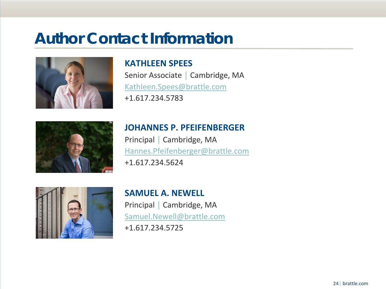## **Author Contact Information**



### **KATHLEEN SPEES**

Senior Associate │ Cambridge, MA [Kathleen.Spees@brattle.com](mailto:Kathleen.Spees@brattle.com)  +1.617.234.5783



### **JOHANNES P. PFEIFENBERGER**

Principal │ Cambridge, MA [Hannes.Pfeifenberger@brattle.com](mailto:Hannes.Pfeifenberger@brattle.com)  +1.617.234.5624



## **SAMUEL A. NEWELL**

Principal │ Cambridge, MA [Samuel.Newell@brattle.com](mailto:Samuel.Newell@brattle.com) 

+1.617.234.5725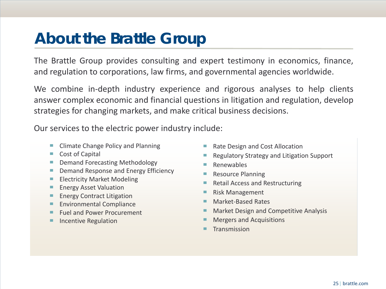## **About the Brattle Group**

The Brattle Group provides consulting and expert testimony in economics, finance, and regulation to corporations, law firms, and governmental agencies worldwide.

We combine in-depth industry experience and rigorous analyses to help clients answer complex economic and financial questions in litigation and regulation, develop strategies for changing markets, and make critical business decisions.

Our services to the electric power industry include:

- Climate Change Policy and Planning
- Cost of Capital
- Demand Forecasting Methodology
- Demand Response and Energy Efficiency
- Electricity Market Modeling
- Energy Asset Valuation
- Energy Contract Litigation
- Environmental Compliance
- Fuel and Power Procurement
- Incentive Regulation
- Rate Design and Cost Allocation
- Regulatory Strategy and Litigation Support
- **Renewables**
- Resource Planning
- Retail Access and Restructuring
- Risk Management
- Market-Based Rates
- Market Design and Competitive Analysis
- Mergers and Acquisitions
- Transmission